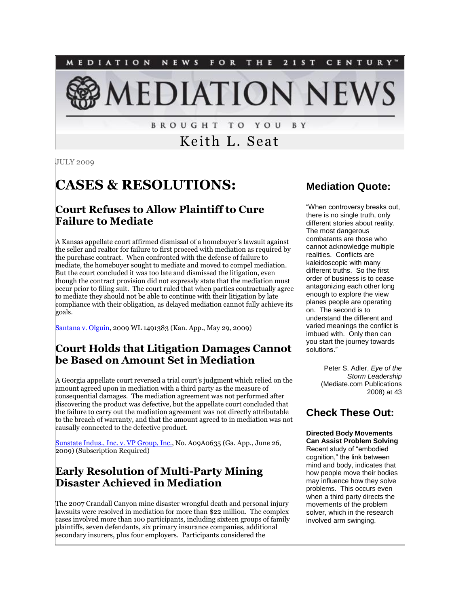NEWS FOR THE 2 1 S T **MEDIATION** CENTURY" **IEDIATION NEW** 

> **BROUGHT TO YOU** B Y

# Keith L. Seat

JULY 2009

# **CASES & RESOLUTIONS:**

# **Court Refuses to Allow Plaintiff to Cure Failure to Mediate**

A Kansas appellate court affirmed dismissal of a homebuyer's lawsuit against the seller and realtor for failure to first proceed with mediation as required by the purchase contract. When confronted with the defense of failure to mediate, the homebuyer sought to mediate and moved to compel mediation. But the court concluded it was too late and dismissed the litigation, even though the contract provision did not expressly state that the mediation must occur prior to filing suit. The court ruled that when parties contractually agree to mediate they should not be able to continue with their litigation by late compliance with their obligation, as delayed mediation cannot fully achieve its goals.

[Santana v. Olguin,](http://www.kscourts.org/Cases-and-Opinions/opinions/ctapp/2009/20090529/99767.htm) 2009 WL 1491383 (Kan. App., May 29, 2009)

# **Court Holds that Litigation Damages Cannot be Based on Amount Set in Mediation**

A Georgia appellate court reversed a trial court's judgment which relied on the amount agreed upon in mediation with a third party as the measure of consequential damages. The mediation agreement was not performed after discovering the product was defective, but the appellate court concluded that the failure to carry out the mediation agreement was not directly attributable to the breach of warranty, and that the amount agreed to in mediation was not causally connected to the defective product.

[Sunstate Indus., Inc. v. VP Group, Inc.,](http://tinyurl.com/lv3uqf) No. A09A0635 (Ga. App., June 26, 2009) (Subscription Required)

# **Early Resolution of Multi-Party Mining Disaster Achieved in Mediation**

The 2007 Crandall Canyon mine disaster wrongful death and personal injury lawsuits were resolved in mediation for more than \$22 million. The complex cases involved more than 100 participants, including sixteen groups of family plaintiffs, seven defendants, six primary insurance companies, additional secondary insurers, plus four employers. Participants considered the

# **Mediation Quote:**

"When controversy breaks out, there is no single truth, only different stories about reality. The most dangerous combatants are those who cannot acknowledge multiple realities. Conflicts are kaleidoscopic with many different truths. So the first order of business is to cease antagonizing each other long enough to explore the view planes people are operating on. The second is to understand the different and varied meanings the conflict is imbued with. Only then can you start the journey towards solutions."

> Peter S. Adler, *Eye of the Storm Leadership*  (Mediate.com Publications 2008) at 43

# **Check These Out:**

**Directed Body Movements Can Assist Problem Solving** Recent study of "embodied cognition," the link between mind and body, indicates that how people move their bodies may influence how they solve problems. This occurs even when a third party directs the movements of the problem solver, which in the research involved arm swinging.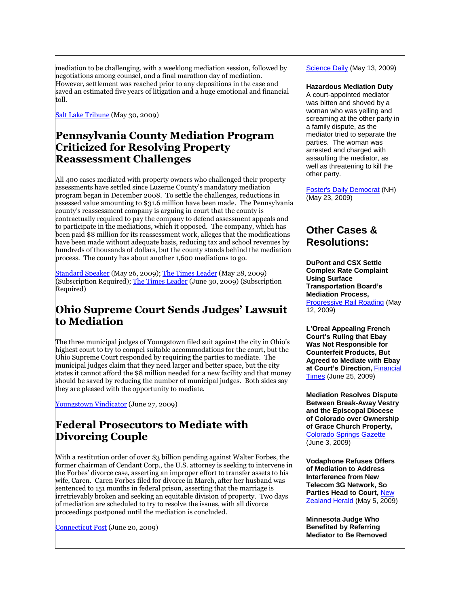mediation to be challenging, with a weeklong mediation session, followed by negotiations among counsel, and a final marathon day of mediation. However, settlement was reached prior to any depositions in the case and saved an estimated five years of litigation and a huge emotional and financial toll.

[Salt Lake Tribune](http://www.sltrib.com/business/ci_12479757) (May 30, 2009)

#### **Pennsylvania County Mediation Program Criticized for Resolving Property Reassessment Challenges**

All 400 cases mediated with property owners who challenged their property assessments have settled since Luzerne County's mandatory mediation program began in December 2008. To settle the challenges, reductions in assessed value amounting to \$31.6 million have been made. The Pennsylvania county's reassessment company is arguing in court that the county is contractually required to pay the company to defend assessment appeals and to participate in the mediations, which it opposed. The company, which has been paid \$8 million for its reassessment work, alleges that the modifications have been made without adequate basis, reducing tax and school revenues by hundreds of thousands of dollars, but the county stands behind the mediation process. The county has about another 1,600 mediations to go.

[Standard Speaker](http://tinyurl.com/okx45n) (May 26, 2009)[; The Times Leader](http://tinyurl.com/nc54l9) (May 28, 2009) (Subscription Required)[; The Times Leader](http://tinyurl.com/lxpowo) (June 30, 2009) (Subscription Required)

#### **Ohio Supreme Court Sends Judges' Lawsuit to Mediation**

The three municipal judges of Youngstown filed suit against the city in Ohio's highest court to try to compel suitable accommodations for the court, but the Ohio Supreme Court responded by requiring the parties to mediate. The municipal judges claim that they need larger and better space, but the city states it cannot afford the \$8 million needed for a new facility and that money should be saved by reducing the number of municipal judges. Both sides say they are pleased with the opportunity to mediate.

[Youngstown Vindicator](http://tinyurl.com/mzfg2l) (June 27, 2009)

# **Federal Prosecutors to Mediate with Divorcing Couple**

With a restitution order of over \$3 billion pending against Walter Forbes, the former chairman of Cendant Corp., the U.S. attorney is seeking to intervene in the Forbes' divorce case, asserting an improper effort to transfer assets to his wife, Caren. Caren Forbes filed for divorce in March, after her husband was sentenced to 151 months in federal prison, asserting that the marriage is irretrievably broken and seeking an equitable division of property. Two days of mediation are scheduled to try to resolve the issues, with all divorce proceedings postponed until the mediation is concluded.

[Connecticut Post](http://www.connpost.com/ci_12648277) (June 20, 2009)

[Science Daily](http://www.sciencedaily.com/releases/2009/05/090512121259.htm) (May 13, 2009)

#### **Hazardous Mediation Duty**

A court-appointed mediator was bitten and shoved by a woman who was yelling and screaming at the other party in a family dispute, as the mediator tried to separate the parties. The woman was arrested and charged with assaulting the mediator, as well as threatening to kill the other party.

[Foster's Daily Democrat](http://tinyurl.com/qrx4ul) (NH) (May 23, 2009)

#### **Other Cases & Resolutions:**

**DuPont and CSX Settle Complex Rate Complaint Using Surface Transportation Board's Mediation Process,**  [Progressive Rail Roading](http://www.progressiverailroading.com/news/article.asp?id=20392) (May 12, 2009)

**L'Oreal Appealing French Court's Ruling that Ebay Was Not Responsible for Counterfeit Products, But Agreed to Mediate with Ebay at Court's Direction,** [Financial](http://tinyurl.com/lev23n)  [Times](http://tinyurl.com/lev23n) (June 25, 2009)

**Mediation Resolves Dispute Between Break-Away Vestry and the Episcopal Diocese of Colorado over Ownership of Grace Church Property,**  [Colorado Springs Gazette](http://www.gazette.com/articles/church-55689-diocese-grace.html) (June 3, 2009)

**Vodaphone Refuses Offers of Mediation to Address Interference from New Telecom 3G Network, So Parties Head to Court,** [New](http://tinyurl.com/pg5chy)  [Zealand Herald](http://tinyurl.com/pg5chy) (May 5, 2009)

**Minnesota Judge Who Benefited by Referring Mediator to Be Removed**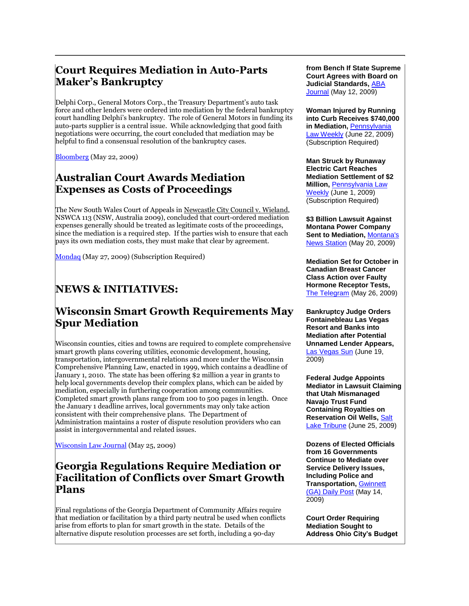# **Court Requires Mediation in Auto-Parts Maker's Bankruptcy**

Delphi Corp., General Motors Corp., the Treasury Department's auto task force and other lenders were ordered into mediation by the federal bankruptcy court handling Delphi's bankruptcy. The role of General Motors in funding its auto-parts supplier is a central issue. While acknowledging that good faith negotiations were occurring, the court concluded that mediation may be helpful to find a consensual resolution of the bankruptcy cases.

**[Bloomberg](http://tinyurl.com/l3jxwv)** (May 22, 2009)

# **Australian Court Awards Mediation Expenses as Costs of Proceedings**

The New South Wales Court of Appeals in Newcastle City Council v. Wieland, NSWCA 113 (NSW, Australia 2009), concluded that court-ordered mediation expenses generally should be treated as legitimate costs of the proceedings, since the mediation is a required step. If the parties wish to ensure that each pays its own mediation costs, they must make that clear by agreement.

[Mondaq](http://tinyurl.com/lh6m44) (May 27, 2009) (Subscription Required)

# **NEWS & INITIATIVES:**

#### **Wisconsin Smart Growth Requirements May Spur Mediation**

Wisconsin counties, cities and towns are required to complete comprehensive smart growth plans covering utilities, economic development, housing, transportation, intergovernmental relations and more under the Wisconsin Comprehensive Planning Law, enacted in 1999, which contains a deadline of January 1, 2010. The state has been offering \$2 million a year in grants to help local governments develop their complex plans, which can be aided by mediation, especially in furthering cooperation among communities. Completed smart growth plans range from 100 to 500 pages in length. Once the January 1 deadline arrives, local governments may only take action consistent with their comprehensive plans. The Department of Administration maintains a roster of dispute resolution providers who can assist in intergovernmental and related issues.

[Wisconsin Law Journal](http://tinyurl.com/pkyy3q) (May 25, 2009)

# **Georgia Regulations Require Mediation or Facilitation of Conflicts over Smart Growth Plans**

Final regulations of the Georgia Department of Community Affairs require that mediation or facilitation by a third party neutral be used when conflicts arise from efforts to plan for smart growth in the state. Details of the alternative dispute resolution processes are set forth, including a 90-day

**from Bench If State Supreme Court Agrees with Board on Judicial Standards,** [ABA](http://tinyurl.com/o6qzzg)  [Journal](http://tinyurl.com/o6qzzg) (May 12, 2009)

**Woman Injured by Running into Curb Receives \$740,000 in Mediation,** [Pennsylvania](http://tinyurl.com/nm2bu6)  [Law Weekly](http://tinyurl.com/nm2bu6) (June 22, 2009) (Subscription Required)

**Man Struck by Runaway Electric Cart Reaches Mediation Settlement of \$2 Million,** [Pennsylvania Law](http://tinyurl.com/mggjan)  [Weekly](http://tinyurl.com/mggjan) (June 1, 2009) (Subscription Required)

**\$3 Billion Lawsuit Against Montana Power Company Sent to Mediation,** [Montana's](http://tinyurl.com/oucyub)  [News Station](http://tinyurl.com/oucyub) (May 20, 2009)

**Mediation Set for October in Canadian Breast Cancer Class Action over Faulty Hormone Receptor Tests,**  [The Telegram](http://www.thetelegram.com/index.cfm?sid=254667&sc=79) (May 26, 2009)

**Bankruptcy Judge Orders Fontainebleau Las Vegas Resort and Banks into Mediation after Potential Unnamed Lender Appears,**  [Las Vegas Sun](http://tinyurl.com/lrcwb3) (June 19, 2009)

**Federal Judge Appoints Mediator in Lawsuit Claiming that Utah Mismanaged Navajo Trust Fund Containing Royalties on Reservation Oil Wells,** [Salt](http://www.sltrib.com/news/ci_12686876)  [Lake Tribune](http://www.sltrib.com/news/ci_12686876) (June 25, 2009)

**Dozens of Elected Officials from 16 Governments Continue to Mediate over Service Delivery Issues, Including Police and Transportation,** [Gwinnett](http://tinyurl.com/qozevr)  [\(GA\) Daily Post](http://tinyurl.com/qozevr) (May 14, 2009)

**Court Order Requiring Mediation Sought to Address Ohio City's Budget**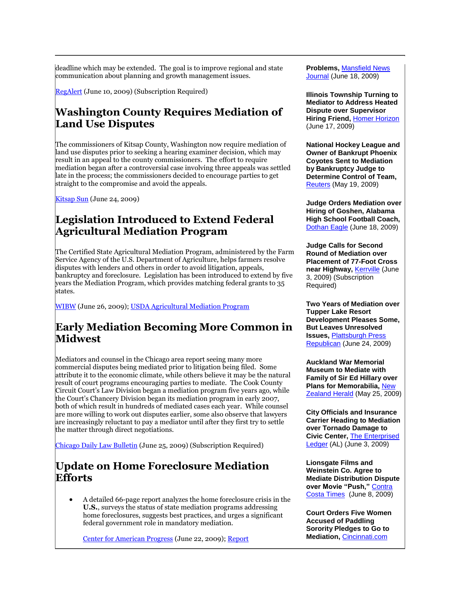deadline which may be extended. The goal is to improve regional and state communication about planning and growth management issues.

[RegAlert](http://tinyurl.com/lyvmo7) (June 10, 2009) (Subscription Required)

# **Washington County Requires Mediation of Land Use Disputes**

The commissioners of Kitsap County, Washington now require mediation of land use disputes prior to seeking a hearing examiner decision, which may result in an appeal to the county commissioners. The effort to require mediation began after a controversial case involving three appeals was settled late in the process; the commissioners decided to encourage parties to get straight to the compromise and avoid the appeals.

[Kitsap Sun](http://tinyurl.com/lex2yo) (June 24, 2009)

# **Legislation Introduced to Extend Federal Agricultural Mediation Program**

The Certified State Agricultural Mediation Program, administered by the Farm Service Agency of the U.S. Department of Agriculture, helps farmers resolve disputes with lenders and others in order to avoid litigation, appeals, bankruptcy and foreclosure. Legislation has been introduced to extend by five years the Mediation Program, which provides matching federal grants to 35 states.

[WIBW](http://www.wibw.com/localnews/headlines/49203197.html) (June 26, 2009); [USDA Agricultural Mediation Program](http://www.fsa.usda.gov/FSA/webapp?area=home&subject=oued&topic=ops-am)

# **Early Mediation Becoming More Common in Midwest**

Mediators and counsel in the Chicago area report seeing many more commercial disputes being mediated prior to litigation being filed. Some attribute it to the economic climate, while others believe it may be the natural result of court programs encouraging parties to mediate. The Cook County Circuit Court's Law Division began a mediation program five years ago, while the Court's Chancery Division began its mediation program in early 2007, both of which result in hundreds of mediated cases each year. While counsel are more willing to work out disputes earlier, some also observe that lawyers are increasingly reluctant to pay a mediator until after they first try to settle the matter through direct negotiations.

[Chicago Daily Law Bulletin](http://tinyurl.com/lule8w) (June 25, 2009) (Subscription Required)

# **Update on Home Foreclosure Mediation Efforts**

 A detailed 66-page report analyzes the home foreclosure crisis in the **U.S.**, surveys the status of state mediation programs addressing home foreclosures, suggests best practices, and urges a significant federal government role in mandatory mediation.

[Center for American Progress](http://www.americanprogress.org/issues/2009/06/time_we_talked.html) (June 22, 2009)[; Report](http://www.americanprogress.org/issues/2009/06/pdf/foreclosure_mediation.pdf)

**Problems,** [Mansfield News](http://www.mansfieldnewsjournal.com/article/20090618/NEWS01/90618019)  [Journal](http://www.mansfieldnewsjournal.com/article/20090618/NEWS01/90618019) (June 18, 2009)

**Illinois Township Turning to Mediator to Address Heated Dispute over Supervisor Hiring Friend,** [Homer Horizon](http://tinyurl.com/mtooah) (June 17, 2009)

**National Hockey League and Owner of Bankrupt Phoenix Coyotes Sent to Mediation by Bankruptcy Judge to Determine Control of Team,**  [Reuters](http://tinyurl.com/mmlgve) (May 19, 2009)

**Judge Orders Mediation over Hiring of Goshen, Alabama High School Football Coach,**  [Dothan Eagle](http://tinyurl.com/lhmdwh) (June 18, 2009)

**Judge Calls for Second Round of Mediation over Placement of 77-Foot Cross near Highway,** [Kerrville](http://tinyurl.com/mgg8yb) (June 3, 2009) (Subscription Required)

**Two Years of Mediation over Tupper Lake Resort Development Pleases Some, But Leaves Unresolved Issues,** [Plattsburgh Press](http://www.pressrepublican.com/midday/local_story_175094626.html)  [Republican](http://www.pressrepublican.com/midday/local_story_175094626.html) (June 24, 2009)

**Auckland War Memorial Museum to Mediate with Family of Sir Ed Hillary over Plans for Memorabilia,** [New](http://www.nzherald.co.nz/nz/news/article.cfm?c_id=1&objectid=10574413)  [Zealand Herald](http://www.nzherald.co.nz/nz/news/article.cfm?c_id=1&objectid=10574413) (May 25, 2009)

**City Officials and Insurance Carrier Heading to Mediation over Tornado Damage to Civic Center,** [The Enterprised](http://tinyurl.com/qf8uvu)  [Ledger](http://tinyurl.com/qf8uvu) (AL) (June 3, 2009)

**Lionsgate Films and Weinstein Co. Agree to Mediate Distribution Dispute over Movie "Push,"** [Contra](http://www.contracostatimes.com/california/ci_12546299?nclick_check=1)  [Costa Times](http://www.contracostatimes.com/california/ci_12546299?nclick_check=1) (June 8, 2009)

**Court Orders Five Women Accused of Paddling Sorority Pledges to Go to Mediation,** [Cincinnati.com](http://tinyurl.com/plbywz)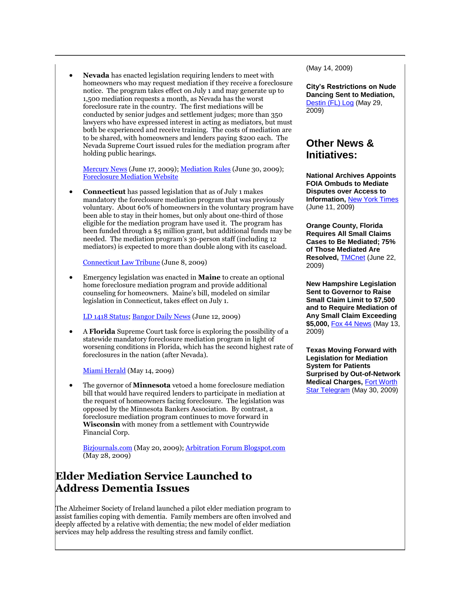**Nevada** has enacted legislation requiring lenders to meet with homeowners who may request mediation if they receive a foreclosure notice. The program takes effect on July 1 and may generate up to 1,500 mediation requests a month, as Nevada has the worst foreclosure rate in the country. The first mediations will be conducted by senior judges and settlement judges; more than 350 lawyers who have expressed interest in acting as mediators, but must both be experienced and receive training. The costs of mediation are to be shared, with homeowners and lenders paying \$200 each. The Nevada Supreme Court issued rules for the mediation program after holding public hearings.

[Mercury News](http://www.mercurynews.com/news/ci_12614118?nclick_check=1) (June 17, 2009); [Mediation Rules](http://www.nevadajudiciary.us/images/pdf/foreclosure.mediation.rules.ord.pdf) (June 30, 2009); [Foreclosure Mediation Website](http://www.nevadajudiciary.us/index.php/foreclosure-mediation.html?layout=blog)

 **Connecticut** has passed legislation that as of July 1 makes mandatory the foreclosure mediation program that was previously voluntary. About 60% of homeowners in the voluntary program have been able to stay in their homes, but only about one-third of those eligible for the mediation program have used it. The program has been funded through a \$5 million grant, but additional funds may be needed. The mediation program's 30-person staff (including 12 mediators) is expected to more than double along with its caseload.

[Connecticut Law Tribune](http://www.ctlawtribune.com/getarticle.aspx?ID=33993) (June 8, 2009)

 Emergency legislation was enacted in **Maine** to create an optional home foreclosure mediation program and provide additional counseling for homeowners. Maine's bill, modeled on similar legislation in Connecticut, takes effect on July 1.

[LD 1418 Status;](http://www.mainelegislature.org/legis/bills/display_ps.asp?LD=1418&snum=124) [Bangor Daily News](http://www.bangordailynews.com/detail/108198.html) (June 12, 2009)

 A **Florida** Supreme Court task force is exploring the possibility of a statewide mandatory foreclosure mediation program in light of worsening conditions in Florida, which has the second highest rate of foreclosures in the nation (after Nevada).

[Miami Herald](http://www.miamiherald.com/business/story/1047634.html) (May 14, 2009)

 The governor of **Minnesota** vetoed a home foreclosure mediation bill that would have required lenders to participate in mediation at the request of homeowners facing foreclosure. The legislation was opposed by the Minnesota Bankers Association. By contrast, a foreclosure mediation program continues to move forward in **Wisconsin** with money from a settlement with Countrywide Financial Corp.

[Bizjournals.com](http://tinyurl.com/nrkl96) (May 20, 2009)[; Arbitration Forum Blogspot.com](http://arbitration-forum.blogspot.com/2009/05/foreclosure-mediation-thrives-in-wi.html) (May 28, 2009)

# **Elder Mediation Service Launched to Address Dementia Issues**

The Alzheimer Society of Ireland launched a pilot elder mediation program to assist families coping with dementia. Family members are often involved and deeply affected by a relative with dementia; the new model of elder mediation services may help address the resulting stress and family conflict.

(May 14, 2009)

**City's Restrictions on Nude Dancing Sent to Mediation,**  [Destin \(FL\) Log](http://www.thedestinlog.com/news/destin-9434-topless-lawsuit.html) (May 29, 2009)

#### **Other News & Initiatives:**

**National Archives Appoints FOIA Ombuds to Mediate Disputes over Access to Information,** [New York Times](http://tinyurl.com/l4zd6c) (June 11, 2009)

**Orange County, Florida Requires All Small Claims Cases to Be Mediated; 75% of Those Mediated Are Resolved,** [TMCnet](http://www.tmcnet.com/usubmit/2009/06/22/4238342.htm) (June 22, 2009)

**New Hampshire Legislation Sent to Governor to Raise Small Claim Limit to \$7,500 and to Require Mediation of Any Small Claim Exceeding \$5,000,** [Fox 44 News](http://www.fox44.net/Global/story.asp?S=10356874) (May 13, 2009)

**Texas Moving Forward with Legislation for Mediation System for Patients Surprised by Out-of-Network Medical Charges,** [Fort Worth](http://www.star-telegram.com/legislature/story/1404115.html)  [Star Telegram](http://www.star-telegram.com/legislature/story/1404115.html) (May 30, 2009)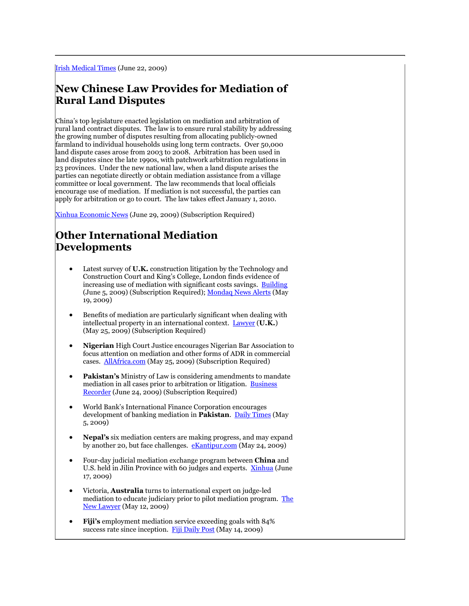# **New Chinese Law Provides for Mediation of Rural Land Disputes**

China's top legislature enacted legislation on mediation and arbitration of rural land contract disputes. The law is to ensure rural stability by addressing the growing number of disputes resulting from allocating publicly-owned farmland to individual households using long term contracts. Over 50,000 land dispute cases arose from 2003 to 2008. Arbitration has been used in land disputes since the late 1990s, with patchwork arbitration regulations in 23 provinces. Under the new national law, when a land dispute arises the parties can negotiate directly or obtain mediation assistance from a village committee or local government. The law recommends that local officials encourage use of mediation. If mediation is not successful, the parties can apply for arbitration or go to court. The law takes effect January 1, 2010.

[Xinhua Economic News](http://tinyurl.com/m92xef) (June 29, 2009) (Subscription Required)

# **Other International Mediation Developments**

- Latest survey of **U.K.** construction litigation by the Technology and Construction Court and King's College, London finds evidence of increasing use of mediation with significant costs savings. [Building](http://tinyurl.com/lsy75c) (June 5, 2009) (Subscription Required)[; Mondaq News Alerts](http://www.mondaq.com/article.asp?articleid=79894&login=true&nogo=1) (May 19, 2009)
- Benefits of mediation are particularly significant when dealing with intellectual property in an international context. [Lawyer](http://tinyurl.com/oxls5u) (**U.K.**) (May 25, 2009) (Subscription Required)
- **Nigerian** High Court Justice encourages Nigerian Bar Association to focus attention on mediation and other forms of ADR in commercial cases. [AllAfrica.com](http://tinyurl.com/o9vtwf) (May 25, 2009) (Subscription Required)
- **Pakistan's** Ministry of Law is considering amendments to mandate mediation in all cases prior to arbitration or litigation. [Business](http://tinyurl.com/nmgpnh)  [Recorder](http://tinyurl.com/nmgpnh) (June 24, 2009) (Subscription Required)
- World Bank's International Finance Corporation encourages development of banking mediation in **Pakistan**. [Daily Times](http://tinyurl.com/kkf8te) (May 5, 2009)
- **Nepal's** six mediation centers are making progress, and may expand by another 20, but face challenges. [eKantipur.com](http://www.ekantipur.com/kolnews.php?&nid=195802) (May 24, 2009)
- Four-day judicial mediation exchange program between **China** and U.S. held in Jilin Province with 60 judges and experts. [Xinhua](http://news.xinhuanet.com/english/2009-06/17/content_11557246.htm) (June 17, 2009)
- Victoria, **Australia** turns to international expert on judge-led mediation to educate judiciary prior to pilot mediation program. [The](http://tinyurl.com/kkf8te)  [New Lawyer](http://tinyurl.com/kkf8te) (May 12, 2009)
- **Fiji's** employment mediation service exceeding goals with 84% success rate since inception. [Fiji Daily Post](http://fijidailypost.com/news.php?section=1&fijidailynews=23563) (May 14, 2009)